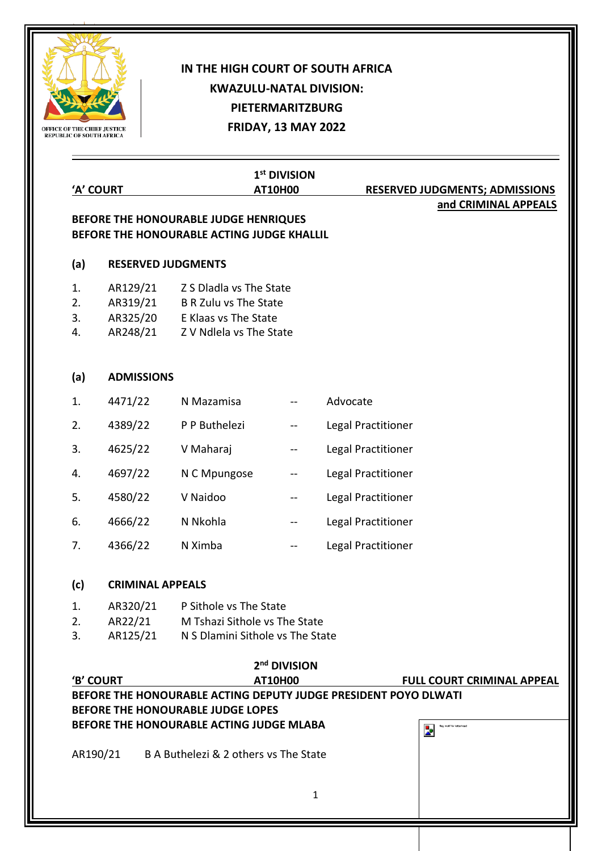

## **IN THE HIGH COURT OF SOUTH AFRICA KWAZULU-NATAL DIVISION: PIETERMARITZBURG FRIDAY, 13 MAY 2022**

|                      | 'A' COURT                                      | 1st DIVISION<br><b>AT10H00</b>                                                                               |                          | <b>RESERVED JUDGMENTS; ADMISSIONS</b> |                                   |  |  |
|----------------------|------------------------------------------------|--------------------------------------------------------------------------------------------------------------|--------------------------|---------------------------------------|-----------------------------------|--|--|
|                      |                                                | BEFORE THE HONOURABLE JUDGE HENRIQUES<br>BEFORE THE HONOURABLE ACTING JUDGE KHALLIL                          |                          |                                       | and CRIMINAL APPEALS              |  |  |
| (a)                  | <b>RESERVED JUDGMENTS</b>                      |                                                                                                              |                          |                                       |                                   |  |  |
| 1.<br>2.<br>3.<br>4. | AR129/21<br>AR319/21<br>AR248/21               | Z S Dladla vs The State<br>B R Zulu vs The State<br>AR325/20 E Klaas vs The State<br>Z V Ndlela vs The State |                          |                                       |                                   |  |  |
| (a)                  | <b>ADMISSIONS</b>                              |                                                                                                              |                          |                                       |                                   |  |  |
| 1.                   | 4471/22                                        | N Mazamisa                                                                                                   |                          | Advocate                              |                                   |  |  |
| 2.                   | 4389/22                                        | P P Buthelezi                                                                                                | --                       | <b>Legal Practitioner</b>             |                                   |  |  |
| 3.                   | 4625/22                                        | V Maharaj                                                                                                    | $\overline{\phantom{a}}$ | <b>Legal Practitioner</b>             |                                   |  |  |
| 4.                   | 4697/22                                        | N C Mpungose                                                                                                 | --                       | Legal Practitioner                    |                                   |  |  |
| 5.                   | 4580/22                                        | V Naidoo                                                                                                     | $\overline{\phantom{m}}$ | Legal Practitioner                    |                                   |  |  |
| 6.                   | 4666/22                                        | N Nkohla                                                                                                     | $--$                     | Legal Practitioner                    |                                   |  |  |
| 7.                   | 4366/22                                        | N Ximba                                                                                                      | $-$                      | Legal Practitioner                    |                                   |  |  |
| (c)                  |                                                | <b>CRIMINAL APPEALS</b>                                                                                      |                          |                                       |                                   |  |  |
| 1.<br>2.<br>3.       | AR320/21<br>AR125/21                           | P Sithole vs The State<br>AR22/21 M Tshazi Sithole vs The State<br>N S Dlamini Sithole vs The State          |                          |                                       |                                   |  |  |
|                      |                                                |                                                                                                              | 2 <sup>nd</sup> DIVISION |                                       |                                   |  |  |
|                      | 'B' COURT                                      | BEFORE THE HONOURABLE ACTING DEPUTY JUDGE PRESIDENT POYO DLWATI<br>BEFORE THE HONOURABLE JUDGE LOPES         | <b>AT10H00</b>           |                                       | <b>FULL COURT CRIMINAL APPEAL</b> |  |  |
|                      |                                                | BEFORE THE HONOURABLE ACTING JUDGE MLABA                                                                     |                          |                                       | flag motif for letterhear<br>Þ    |  |  |
|                      | AR190/21 B A Buthelezi & 2 others vs The State |                                                                                                              |                          |                                       |                                   |  |  |
|                      |                                                |                                                                                                              |                          |                                       |                                   |  |  |
|                      |                                                |                                                                                                              | $\mathbf{1}$             |                                       |                                   |  |  |